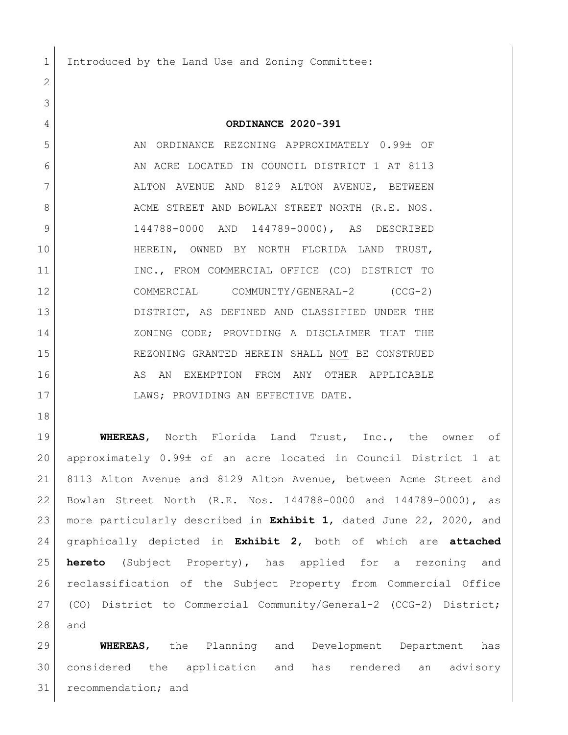1 Introduced by the Land Use and Zoning Committee:

## **ORDINANCE 2020-391**

5 AN ORDINANCE REZONING APPROXIMATELY 0.99± OF 6 AN ACRE LOCATED IN COUNCIL DISTRICT 1 AT 8113 7 ALTON AVENUE AND 8129 ALTON AVENUE, BETWEEN 8 ACME STREET AND BOWLAN STREET NORTH (R.E. NOS. 144788-0000 AND 144789-0000), AS DESCRIBED HEREIN, OWNED BY NORTH FLORIDA LAND TRUST, 11 | INC., FROM COMMERCIAL OFFICE (CO) DISTRICT TO COMMERCIAL COMMUNITY/GENERAL-2 (CCG-2) DISTRICT, AS DEFINED AND CLASSIFIED UNDER THE 14 ZONING CODE; PROVIDING A DISCLAIMER THAT THE REZONING GRANTED HEREIN SHALL NOT BE CONSTRUED 16 AS AN EXEMPTION FROM ANY OTHER APPLICABLE 17 | LAWS; PROVIDING AN EFFECTIVE DATE.

 **WHEREAS**, North Florida Land Trust, Inc., the owner of approximately 0.99 of an acre located in Council District 1 at 8113 Alton Avenue and 8129 Alton Avenue, between Acme Street and Bowlan Street North (R.E. Nos. 144788-0000 and 144789-0000), as more particularly described in **Exhibit 1**, dated June 22, 2020, and graphically depicted in **Exhibit 2**, both of which are **attached hereto** (Subject Property), has applied for a rezoning and reclassification of the Subject Property from Commercial Office (CO) District to Commercial Community/General-2 (CCG-2) District; and

 **WHEREAS**, the Planning and Development Department has considered the application and has rendered an advisory 31 recommendation; and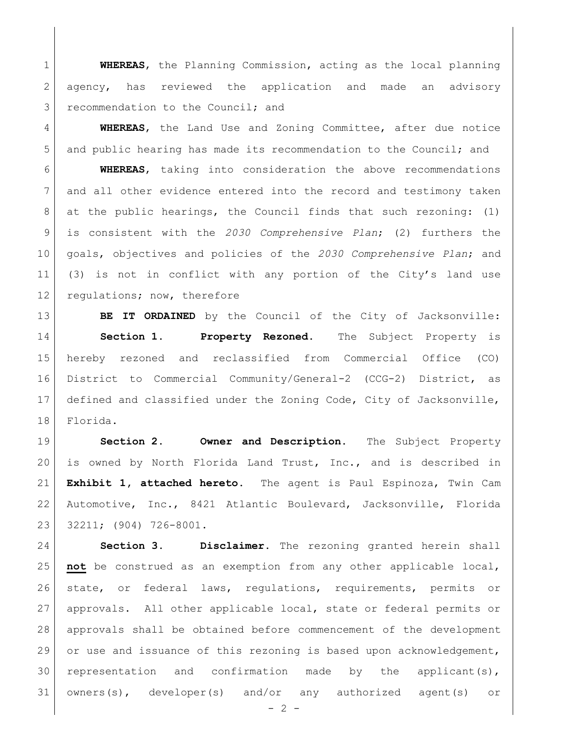**WHEREAS**, the Planning Commission, acting as the local planning 2 agency, has reviewed the application and made an advisory 3 recommendation to the Council; and

 **WHEREAS**, the Land Use and Zoning Committee, after due notice 5 and public hearing has made its recommendation to the Council; and

 **WHEREAS**, taking into consideration the above recommendations 7 and all other evidence entered into the record and testimony taken at the public hearings, the Council finds that such rezoning: (1) is consistent with the *2030 Comprehensive Plan*; (2) furthers the goals, objectives and policies of the *2030 Comprehensive Plan*; and (3) is not in conflict with any portion of the City's land use 12 regulations; now, therefore

**BE IT ORDAINED** by the Council of the City of Jacksonville: **Section 1. Property Rezoned.** The Subject Property is hereby rezoned and reclassified from Commercial Office (CO) District to Commercial Community/General-2 (CCG-2) District, as defined and classified under the Zoning Code, City of Jacksonville, Florida.

 **Section 2. Owner and Description.** The Subject Property is owned by North Florida Land Trust, Inc., and is described in **Exhibit 1, attached hereto.** The agent is Paul Espinoza, Twin Cam Automotive, Inc., 8421 Atlantic Boulevard, Jacksonville, Florida 32211; (904) 726-8001.

 **Section 3. Disclaimer.** The rezoning granted herein shall **not** be construed as an exemption from any other applicable local, state, or federal laws, regulations, requirements, permits or approvals. All other applicable local, state or federal permits or approvals shall be obtained before commencement of the development 29 or use and issuance of this rezoning is based upon acknowledgement, 30 representation and confirmation made by the applicant(s), owners(s), developer(s) and/or any authorized agent(s) or

 $-2 -$